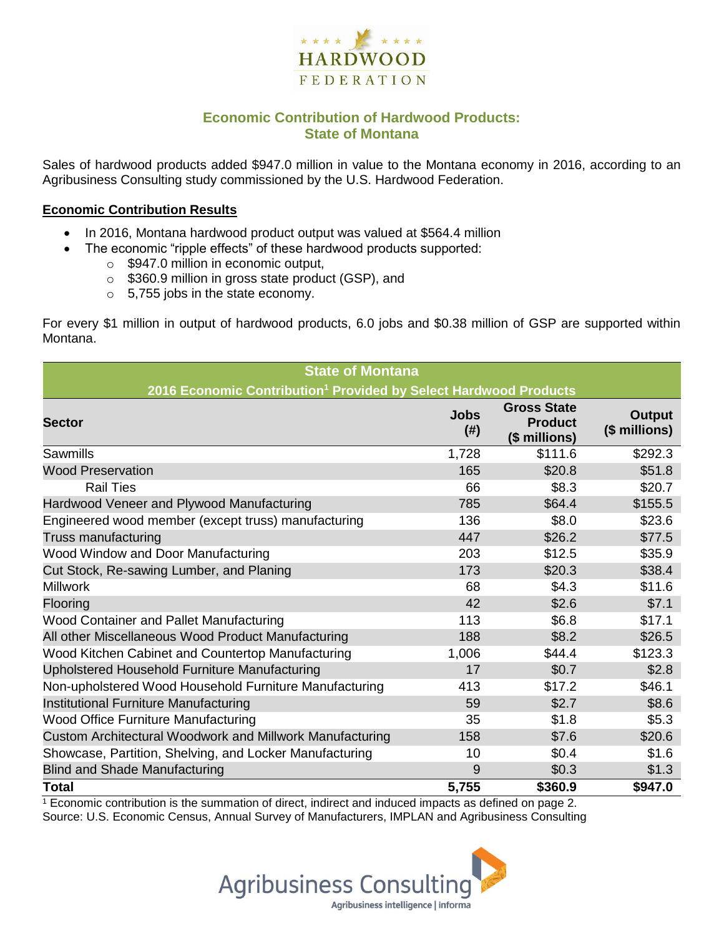

## **Economic Contribution of Hardwood Products: State of Montana**

Sales of hardwood products added \$947.0 million in value to the Montana economy in 2016, according to an Agribusiness Consulting study commissioned by the U.S. Hardwood Federation.

#### **Economic Contribution Results**

- In 2016, Montana hardwood product output was valued at \$564.4 million
	- The economic "ripple effects" of these hardwood products supported:
		- o \$947.0 million in economic output,
		- o \$360.9 million in gross state product (GSP), and
		- o 5,755 jobs in the state economy.

For every \$1 million in output of hardwood products, 6.0 jobs and \$0.38 million of GSP are supported within Montana.

| <b>State of Montana</b>                                                      |                     |                                                       |                         |  |  |  |  |
|------------------------------------------------------------------------------|---------------------|-------------------------------------------------------|-------------------------|--|--|--|--|
| 2016 Economic Contribution <sup>1</sup> Provided by Select Hardwood Products |                     |                                                       |                         |  |  |  |  |
| <b>Sector</b>                                                                | <b>Jobs</b><br>(# ) | <b>Gross State</b><br><b>Product</b><br>(\$ millions) | Output<br>(\$ millions) |  |  |  |  |
| Sawmills                                                                     | 1,728               | \$111.6                                               | \$292.3                 |  |  |  |  |
| <b>Wood Preservation</b>                                                     | 165                 | \$20.8                                                | \$51.8                  |  |  |  |  |
| <b>Rail Ties</b>                                                             | 66                  | \$8.3                                                 | \$20.7                  |  |  |  |  |
| Hardwood Veneer and Plywood Manufacturing                                    | 785                 | \$64.4                                                | \$155.5                 |  |  |  |  |
| Engineered wood member (except truss) manufacturing                          | 136                 | \$8.0                                                 | \$23.6                  |  |  |  |  |
| Truss manufacturing                                                          | 447                 | \$26.2                                                | \$77.5                  |  |  |  |  |
| Wood Window and Door Manufacturing                                           | 203                 | \$12.5                                                | \$35.9                  |  |  |  |  |
| Cut Stock, Re-sawing Lumber, and Planing                                     | 173                 | \$20.3                                                | \$38.4                  |  |  |  |  |
| <b>Millwork</b>                                                              | 68                  | \$4.3                                                 | \$11.6                  |  |  |  |  |
| Flooring                                                                     | 42                  | \$2.6                                                 | \$7.1                   |  |  |  |  |
| Wood Container and Pallet Manufacturing                                      | 113                 | \$6.8                                                 | \$17.1                  |  |  |  |  |
| All other Miscellaneous Wood Product Manufacturing                           | 188                 | \$8.2                                                 | \$26.5                  |  |  |  |  |
| Wood Kitchen Cabinet and Countertop Manufacturing                            | 1,006               | \$44.4                                                | \$123.3                 |  |  |  |  |
| Upholstered Household Furniture Manufacturing                                | 17                  | \$0.7                                                 | \$2.8                   |  |  |  |  |
| Non-upholstered Wood Household Furniture Manufacturing                       | 413                 | \$17.2                                                | \$46.1                  |  |  |  |  |
| Institutional Furniture Manufacturing                                        | 59                  | \$2.7                                                 | \$8.6                   |  |  |  |  |
| <b>Wood Office Furniture Manufacturing</b>                                   | 35                  | \$1.8                                                 | \$5.3\$                 |  |  |  |  |
| Custom Architectural Woodwork and Millwork Manufacturing                     | 158                 | \$7.6                                                 | \$20.6                  |  |  |  |  |
| Showcase, Partition, Shelving, and Locker Manufacturing                      | 10                  | \$0.4                                                 | \$1.6                   |  |  |  |  |
| <b>Blind and Shade Manufacturing</b>                                         | 9                   | \$0.3                                                 | \$1.3                   |  |  |  |  |
| <b>Total</b>                                                                 | 5,755               | \$360.9                                               | \$947.0                 |  |  |  |  |

 $1$  Economic contribution is the summation of direct, indirect and induced impacts as defined on page 2. Source: U.S. Economic Census, Annual Survey of Manufacturers, IMPLAN and Agribusiness Consulting